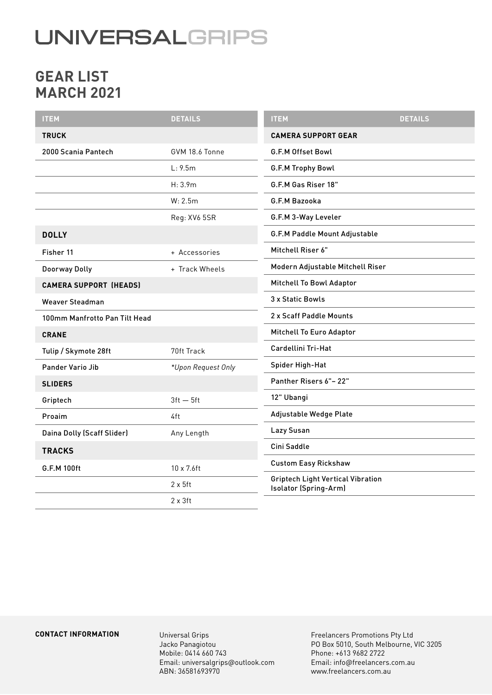# **UNIVERSALGRIPS**

## **GEAR LIST MARCH 2021**

| <b>ITEM</b>                   | <b>DETAILS</b>     | <b>ITEM</b>                                                       | <b>DETAILS</b> |
|-------------------------------|--------------------|-------------------------------------------------------------------|----------------|
| <b>TRUCK</b>                  |                    | <b>CAMERA SUPPORT GEAR</b>                                        |                |
| 2000 Scania Pantech           | GVM 18.6 Tonne     | <b>G.F.M Offset Bowl</b>                                          |                |
|                               | L: 9.5m            | G.F.M Trophy Bowl                                                 |                |
|                               | H: 3.9m            | G.F.M Gas Riser 18"                                               |                |
|                               | W: 2.5m            | G.F.M Bazooka                                                     |                |
|                               | Reg: XV6 5SR       | G.F.M 3-Way Leveler                                               |                |
| <b>DOLLY</b>                  |                    | G.F.M Paddle Mount Adjustable                                     |                |
| Fisher 11                     | + Accessories      | Mitchell Riser 6"                                                 |                |
| Doorway Dolly                 | + Track Wheels     | Modern Adjustable Mitchell Riser                                  |                |
| <b>CAMERA SUPPORT (HEADS)</b> |                    | Mitchell To Bowl Adaptor                                          |                |
| <b>Weaver Steadman</b>        |                    | 3 x Static Bowls                                                  |                |
| 100mm Manfrotto Pan Tilt Head |                    | 2 x Scaff Paddle Mounts                                           |                |
| <b>CRANE</b>                  |                    | Mitchell To Euro Adaptor                                          |                |
| Tulip / Skymote 28ft          | 70ft Track         | Cardellini Tri-Hat                                                |                |
| <b>Pander Vario Jib</b>       | *Upon Request Only | Spider High-Hat                                                   |                |
| <b>SLIDERS</b>                |                    | Panther Risers 6"-22"                                             |                |
| Griptech                      | $3ft - 5ft$        | 12" Ubangi                                                        |                |
| Proaim                        | 4ft                | Adjustable Wedge Plate                                            |                |
| Daina Dolly (Scaff Slider)    | Any Length         | Lazy Susan                                                        |                |
| <b>TRACKS</b>                 |                    | Cini Saddle                                                       |                |
| G.F.M 100ft                   | 10 x 7.6ft         | <b>Custom Easy Rickshaw</b>                                       |                |
|                               | $2 \times 5$ ft    | <b>Griptech Light Vertical Vibration</b><br>Isolator (Spring-Arm) |                |
|                               | $2 \times 3$ ft    |                                                                   |                |

#### **CONTACT INFORMATION**

Universal Grips Jacko Panagiotou Mobile: 0414 660 743 Email: universalgrips@outlook.com ABN: 36581693970

Freelancers Promotions Pty Ltd PO Box 5010, South Melbourne, VIC 3205 Phone: +613 9682 2722 Email: info@freelancers.com.au www.freelancers.com.au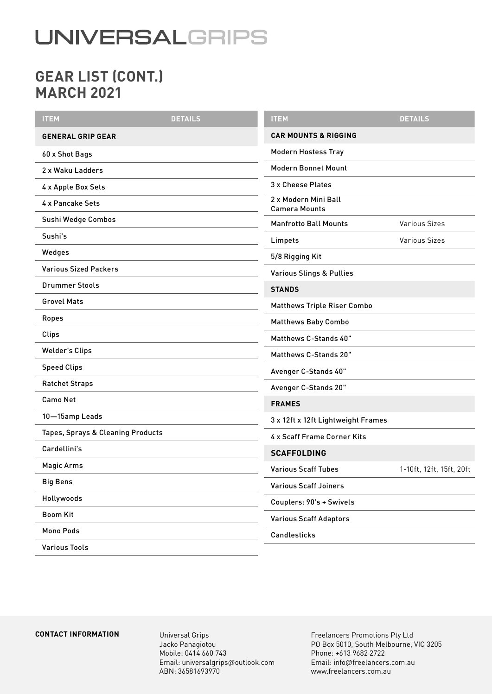# **UNIVERSALGRIPS**

## **GEAR LIST (CONT.) MARCH 2021**

| <b>ITEM</b>                       | <b>DETAILS</b> | <b>ITEM</b>                                  | <b>DETAILS</b>           |
|-----------------------------------|----------------|----------------------------------------------|--------------------------|
| <b>GENERAL GRIP GEAR</b>          |                | <b>CAR MOUNTS &amp; RIGGING</b>              |                          |
| 60 x Shot Bags                    |                | <b>Modern Hostess Tray</b>                   |                          |
| 2 x Waku Ladders                  |                | <b>Modern Bonnet Mount</b>                   |                          |
| 4 x Apple Box Sets                |                | 3 x Cheese Plates                            |                          |
| 4 x Pancake Sets                  |                | 2 x Modern Mini Ball<br><b>Camera Mounts</b> |                          |
| Sushi Wedge Combos                |                | <b>Manfrotto Ball Mounts</b>                 | <b>Various Sizes</b>     |
| Sushi's                           |                | Limpets                                      | <b>Various Sizes</b>     |
| Wedges                            |                | 5/8 Rigging Kit                              |                          |
| <b>Various Sized Packers</b>      |                | <b>Various Slings &amp; Pullies</b>          |                          |
| <b>Drummer Stools</b>             |                | <b>STANDS</b>                                |                          |
| <b>Grovel Mats</b>                |                | <b>Matthews Triple Riser Combo</b>           |                          |
| Ropes                             |                | <b>Matthews Baby Combo</b>                   |                          |
| Clips                             |                | Matthews C-Stands 40"                        |                          |
| <b>Welder's Clips</b>             |                | Matthews C-Stands 20"                        |                          |
| <b>Speed Clips</b>                |                | Avenger C-Stands 40"                         |                          |
| <b>Ratchet Straps</b>             |                | Avenger C-Stands 20"                         |                          |
| <b>Camo Net</b>                   |                | <b>FRAMES</b>                                |                          |
| 10-15amp Leads                    |                | 3 x 12ft x 12ft Lightweight Frames           |                          |
| Tapes, Sprays & Cleaning Products |                | 4 x Scaff Frame Corner Kits                  |                          |
| Cardellini's                      |                | <b>SCAFFOLDING</b>                           |                          |
| <b>Magic Arms</b>                 |                | <b>Various Scaff Tubes</b>                   | 1-10ft, 12ft, 15ft, 20ft |
| <b>Big Bens</b>                   |                | <b>Various Scaff Joiners</b>                 |                          |
| Hollywoods                        |                | Couplers: 90's + Swivels                     |                          |
| <b>Boom Kit</b>                   |                | <b>Various Scaff Adaptors</b>                |                          |
| Mono Pods                         |                | Candlesticks                                 |                          |
| <b>Various Tools</b>              |                |                                              |                          |

#### **CONTACT INFORMATION** Universal Grips

Jacko Panagiotou Mobile: 0414 660 743 Email: universalgrips@outlook.com ABN: 36581693970

Freelancers Promotions Pty Ltd PO Box 5010, South Melbourne, VIC 3205 Phone: +613 9682 2722 Email: info@freelancers.com.au www.freelancers.com.au